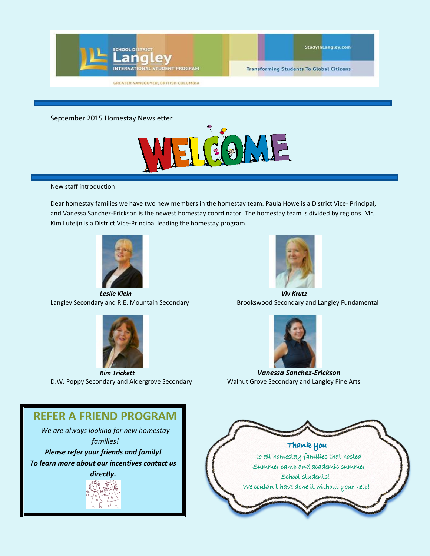

**GREATER VANCOUVER, BRITISH COLUMBIA** 

**Transforming Students To Global Citizens** 

September 2015 Homestay Newsletter



New staff introduction:

Dear homestay families we have two new members in the homestay team. Paula Howe is a District Vice- Principal, and Vanessa Sanchez-Erickson is the newest homestay coordinator. The homestay team is divided by regions. Mr. Kim Luteijn is a District Vice-Principal leading the homestay program.



*Leslie Klein Viv Krutz*



D.W. Poppy Secondary and Aldergrove Secondary Walnut Grove Secondary and Langley Fine Arts



Langley Secondary and R.E. Mountain Secondary Brookswood Secondary and Langley Fundamental



*Kim Trickett Vanessa Sanchez-Erickson*

## **REFER A FRIEND PROGRAM**

*We are always looking for new homestay families!*

*Please refer your friends and family! To learn more about our incentives contact us* 

*directly.*